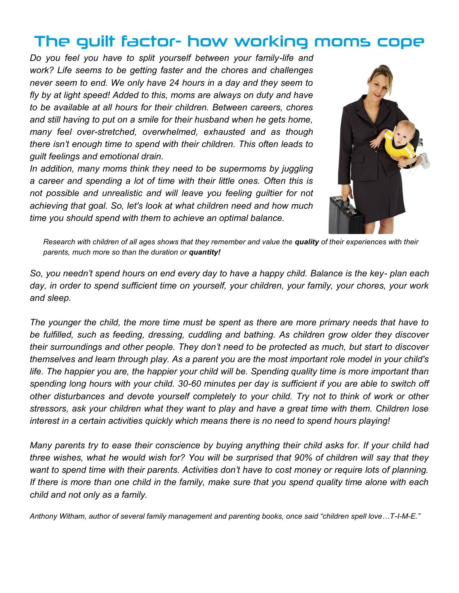# The guilt factor- how working moms cope

*Do you feel you have to split yourself between your family-life and work? Life seems to be getting faster and the chores and challenges never seem to end. We only have 24 hours in a day and they seem to fly by at light speed! Added to this, moms are always on duty and have to be available at all hours for their children. Between careers, chores and still having to put on a smile for their husband when he gets home, many feel over-stretched, overwhelmed, exhausted and as though there isn't enough time to spend with their children. This often leads to guilt feelings and emotional drain.* 

*In addition, many moms think they need to be supermoms by juggling a career and spending a lot of time with their little ones. Often this is not possible and unrealistic and will leave you feeling guiltier for not achieving that goal. So, let's look at what children need and how much time you should spend with them to achieve an optimal balance.*



*Research with children of all ages shows that they remember and value the quality of their experiences with their parents, much more so than the duration or quantity!*

*So, you needn't spend hours on end every day to have a happy child. Balance is the key- plan each day, in order to spend sufficient time on yourself, your children, your family, your chores, your work and sleep.*

*The younger the child, the more time must be spent as there are more primary needs that have to be fulfilled, such as feeding, dressing, cuddling and bathing. As children grow older they discover their surroundings and other people. They don't need to be protected as much, but start to discover themselves and learn through play. As a parent you are the most important role model in your child's*  life. The happier you are, the happier your child will be. Spending quality time is more important than *spending long hours with your child. 30-60 minutes per day is sufficient if you are able to switch off other disturbances and devote yourself completely to your child. Try not to think of work or other stressors, ask your children what they want to play and have a great time with them. Children lose interest in a certain activities quickly which means there is no need to spend hours playing!* 

*Many parents try to ease their conscience by buying anything their child asks for. If your child had three wishes, what he would wish for? You will be surprised that 90% of children will say that they want to spend time with their parents. Activities don't have to cost money or require lots of planning. If there is more than one child in the family, make sure that you spend quality time alone with each child and not only as a family.*

*Anthony Witham, author of several family management and parenting books, once said "children spell love…T-I-M-E."*